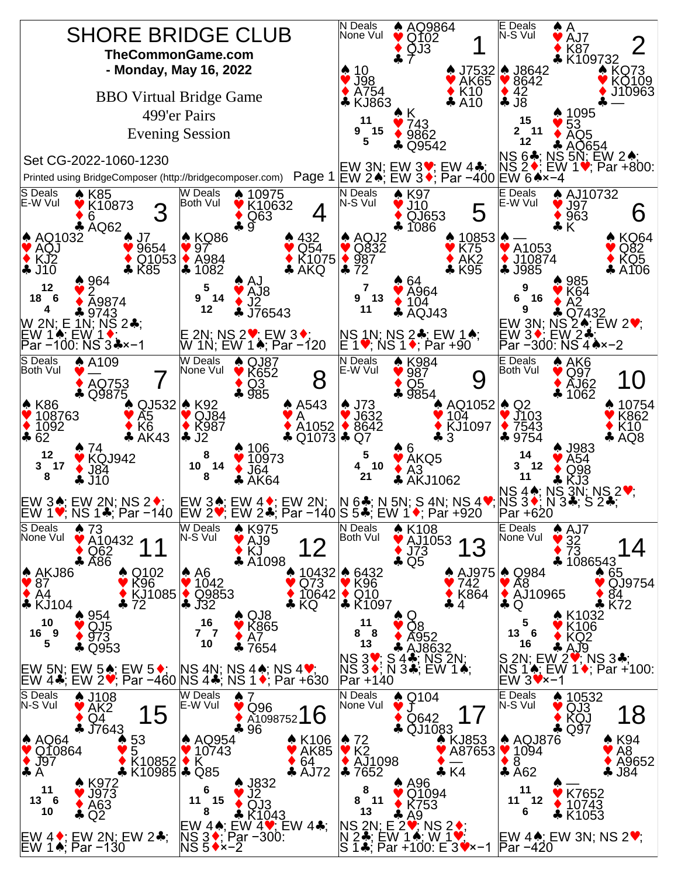